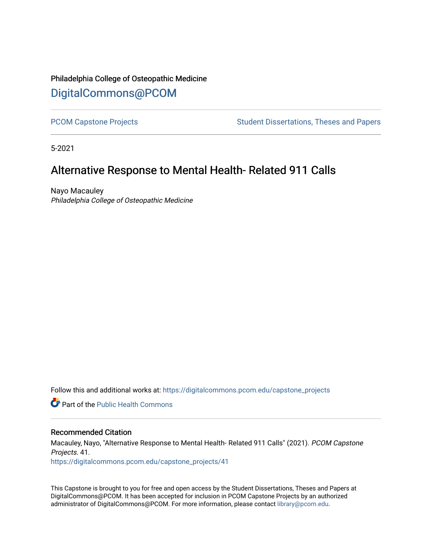# Philadelphia College of Osteopathic Medicine [DigitalCommons@PCOM](https://digitalcommons.pcom.edu/)

[PCOM Capstone Projects](https://digitalcommons.pcom.edu/capstone_projects) **Student Dissertations, Theses and Papers** Student Dissertations, Theses and Papers

5-2021

# Alternative Response to Mental Health- Related 911 Calls

Nayo Macauley Philadelphia College of Osteopathic Medicine

Follow this and additional works at: [https://digitalcommons.pcom.edu/capstone\\_projects](https://digitalcommons.pcom.edu/capstone_projects?utm_source=digitalcommons.pcom.edu%2Fcapstone_projects%2F41&utm_medium=PDF&utm_campaign=PDFCoverPages)

**C** Part of the Public Health Commons

#### Recommended Citation

Macauley, Nayo, "Alternative Response to Mental Health- Related 911 Calls" (2021). PCOM Capstone Projects. 41.

[https://digitalcommons.pcom.edu/capstone\\_projects/41](https://digitalcommons.pcom.edu/capstone_projects/41?utm_source=digitalcommons.pcom.edu%2Fcapstone_projects%2F41&utm_medium=PDF&utm_campaign=PDFCoverPages) 

This Capstone is brought to you for free and open access by the Student Dissertations, Theses and Papers at DigitalCommons@PCOM. It has been accepted for inclusion in PCOM Capstone Projects by an authorized administrator of DigitalCommons@PCOM. For more information, please contact [library@pcom.edu.](mailto:library@pcom.edu)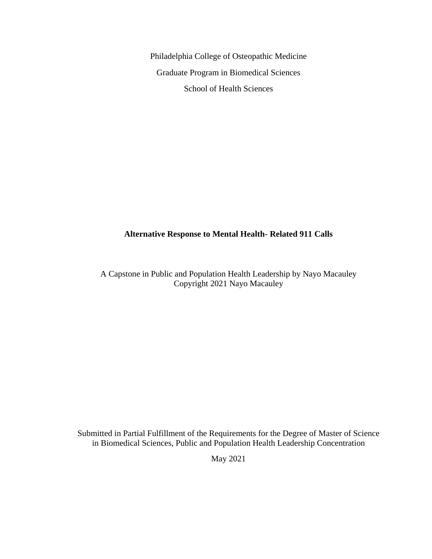Philadelphia College of Osteopathic Medicine Graduate Program in Biomedical Sciences School of Health Sciences

### **Alternative Response to Mental Health- Related 911 Calls**

A Capstone in Public and Population Health Leadership by Nayo Macauley Copyright 2021 Nayo Macauley

Submitted in Partial Fulfillment of the Requirements for the Degree of Master of Science in Biomedical Sciences, Public and Population Health Leadership Concentration

May 2021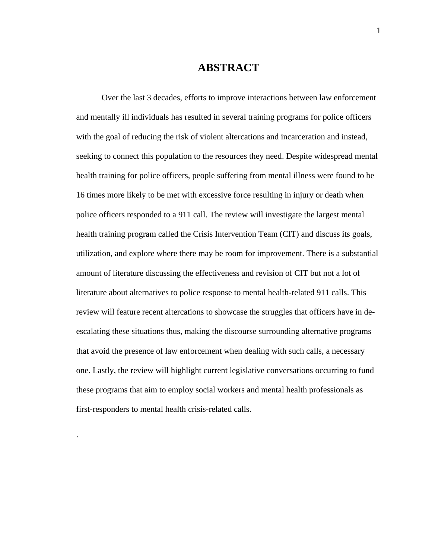### **ABSTRACT**

Over the last 3 decades, efforts to improve interactions between law enforcement and mentally ill individuals has resulted in several training programs for police officers with the goal of reducing the risk of violent altercations and incarceration and instead, seeking to connect this population to the resources they need. Despite widespread mental health training for police officers, people suffering from mental illness were found to be 16 times more likely to be met with excessive force resulting in injury or death when police officers responded to a 911 call. The review will investigate the largest mental health training program called the Crisis Intervention Team (CIT) and discuss its goals, utilization, and explore where there may be room for improvement. There is a substantial amount of literature discussing the effectiveness and revision of CIT but not a lot of literature about alternatives to police response to mental health-related 911 calls. This review will feature recent altercations to showcase the struggles that officers have in deescalating these situations thus, making the discourse surrounding alternative programs that avoid the presence of law enforcement when dealing with such calls, a necessary one. Lastly, the review will highlight current legislative conversations occurring to fund these programs that aim to employ social workers and mental health professionals as first-responders to mental health crisis-related calls.

.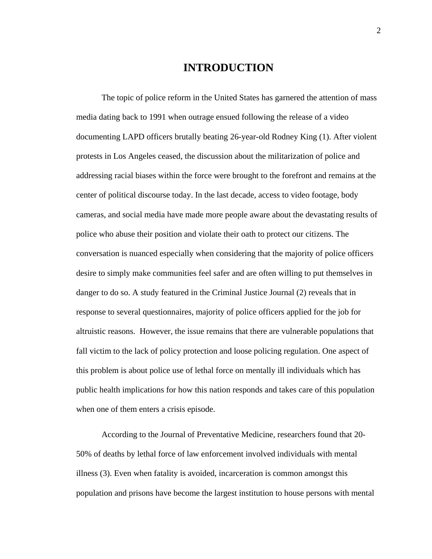### **INTRODUCTION**

The topic of police reform in the United States has garnered the attention of mass media dating back to 1991 when outrage ensued following the release of a video documenting LAPD officers brutally beating 26-year-old Rodney King (1). After violent protests in Los Angeles ceased, the discussion about the militarization of police and addressing racial biases within the force were brought to the forefront and remains at the center of political discourse today. In the last decade, access to video footage, body cameras, and social media have made more people aware about the devastating results of police who abuse their position and violate their oath to protect our citizens. The conversation is nuanced especially when considering that the majority of police officers desire to simply make communities feel safer and are often willing to put themselves in danger to do so. A study featured in the Criminal Justice Journal (2) reveals that in response to several questionnaires, majority of police officers applied for the job for altruistic reasons. However, the issue remains that there are vulnerable populations that fall victim to the lack of policy protection and loose policing regulation. One aspect of this problem is about police use of lethal force on mentally ill individuals which has public health implications for how this nation responds and takes care of this population when one of them enters a crisis episode.

According to the Journal of Preventative Medicine, researchers found that 20- 50% of deaths by lethal force of law enforcement involved individuals with mental illness (3). Even when fatality is avoided, incarceration is common amongst this population and prisons have become the largest institution to house persons with mental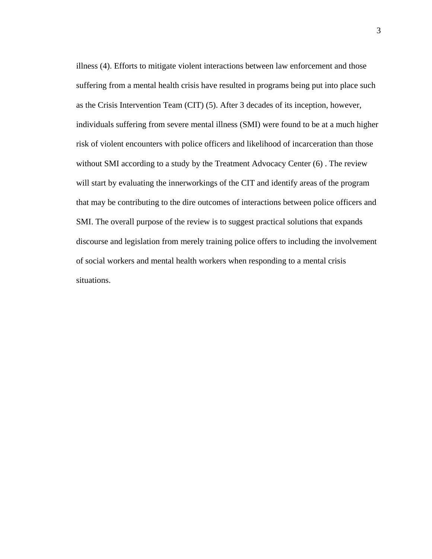illness (4). Efforts to mitigate violent interactions between law enforcement and those suffering from a mental health crisis have resulted in programs being put into place such as the Crisis Intervention Team (CIT) (5). After 3 decades of its inception, however, individuals suffering from severe mental illness (SMI) were found to be at a much higher risk of violent encounters with police officers and likelihood of incarceration than those without SMI according to a study by the Treatment Advocacy Center (6). The review will start by evaluating the innerworkings of the CIT and identify areas of the program that may be contributing to the dire outcomes of interactions between police officers and SMI. The overall purpose of the review is to suggest practical solutions that expands discourse and legislation from merely training police offers to including the involvement of social workers and mental health workers when responding to a mental crisis situations.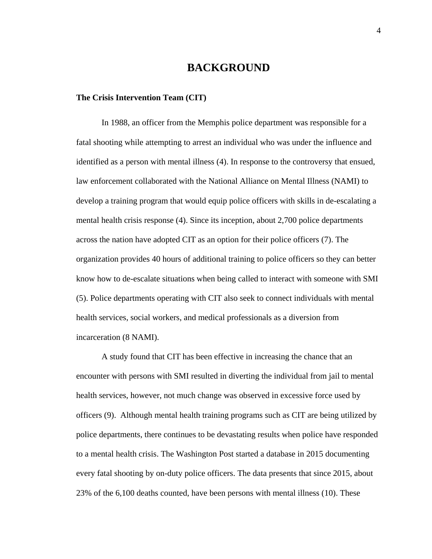### **BACKGROUND**

#### **The Crisis Intervention Team (CIT)**

In 1988, an officer from the Memphis police department was responsible for a fatal shooting while attempting to arrest an individual who was under the influence and identified as a person with mental illness (4). In response to the controversy that ensued, law enforcement collaborated with the National Alliance on Mental Illness (NAMI) to develop a training program that would equip police officers with skills in de-escalating a mental health crisis response (4). Since its inception, about 2,700 police departments across the nation have adopted CIT as an option for their police officers (7). The organization provides 40 hours of additional training to police officers so they can better know how to de-escalate situations when being called to interact with someone with SMI (5). Police departments operating with CIT also seek to connect individuals with mental health services, social workers, and medical professionals as a diversion from incarceration (8 NAMI).

A study found that CIT has been effective in increasing the chance that an encounter with persons with SMI resulted in diverting the individual from jail to mental health services, however, not much change was observed in excessive force used by officers (9). Although mental health training programs such as CIT are being utilized by police departments, there continues to be devastating results when police have responded to a mental health crisis. The Washington Post started a database in 2015 documenting every fatal shooting by on-duty police officers. The data presents that since 2015, about 23% of the 6,100 deaths counted, have been persons with mental illness (10). These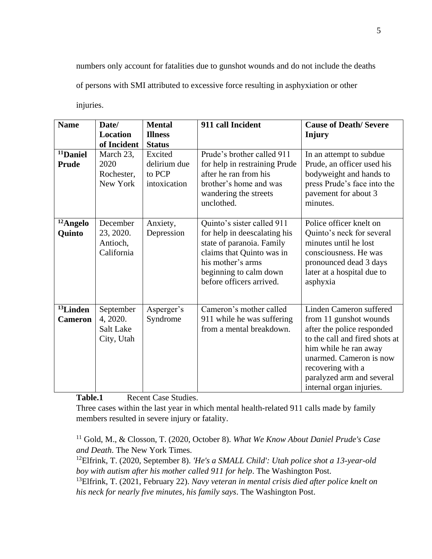numbers only account for fatalities due to gunshot wounds and do not include the deaths

of persons with SMI attributed to excessive force resulting in asphyxiation or other

injuries.

| <b>Name</b>                            | Date/<br><b>Location</b><br>of Incident          | <b>Mental</b><br><b>Illness</b><br><b>Status</b>  | 911 call Incident                                                                                                                                                                               | <b>Cause of Death/Severe</b><br><b>Injury</b>                                                                                                                                                                                                       |
|----------------------------------------|--------------------------------------------------|---------------------------------------------------|-------------------------------------------------------------------------------------------------------------------------------------------------------------------------------------------------|-----------------------------------------------------------------------------------------------------------------------------------------------------------------------------------------------------------------------------------------------------|
| <sup>11</sup> Daniel<br>Prude          | March 23,<br>2020<br>Rochester,<br>New York      | Excited<br>delirium due<br>to PCP<br>intoxication | Prude's brother called 911<br>for help in restraining Prude<br>after he ran from his<br>brother's home and was<br>wandering the streets<br>unclothed.                                           | In an attempt to subdue<br>Prude, an officer used his<br>bodyweight and hands to<br>press Prude's face into the<br>pavement for about 3<br>minutes.                                                                                                 |
| <sup>12</sup> Angelo<br>Quinto         | December<br>23, 2020.<br>Antioch,<br>California  | Anxiety,<br>Depression                            | Quinto's sister called 911<br>for help in deescalating his<br>state of paranoia. Family<br>claims that Quinto was in<br>his mother's arms<br>beginning to calm down<br>before officers arrived. | Police officer knelt on<br>Quinto's neck for several<br>minutes until he lost<br>consciousness. He was<br>pronounced dead 3 days<br>later at a hospital due to<br>asphyxia                                                                          |
| <sup>13</sup> Linden<br><b>Cameron</b> | September<br>4, 2020.<br>Salt Lake<br>City, Utah | Asperger's<br>Syndrome                            | Cameron's mother called<br>911 while he was suffering<br>from a mental breakdown.                                                                                                               | Linden Cameron suffered<br>from 11 gunshot wounds<br>after the police responded<br>to the call and fired shots at<br>him while he ran away<br>unarmed. Cameron is now<br>recovering with a<br>paralyzed arm and several<br>internal organ injuries. |

Table.1 Recent Case Studies.

Three cases within the last year in which mental health-related 911 calls made by family members resulted in severe injury or fatality.

<sup>11</sup> Gold, M., & Closson, T. (2020, October 8). *What We Know About Daniel Prude's Case and Death*. The New York Times.

<sup>12</sup>Elfrink, T. (2020, September 8). *'He's a SMALL Child': Utah police shot a 13-year-old boy with autism after his mother called 911 for help*. The Washington Post. <sup>13</sup>Elfrink, T. (2021, February 22). *Navy veteran in mental crisis died after police knelt on his neck for nearly five minutes, his family says*. The Washington Post.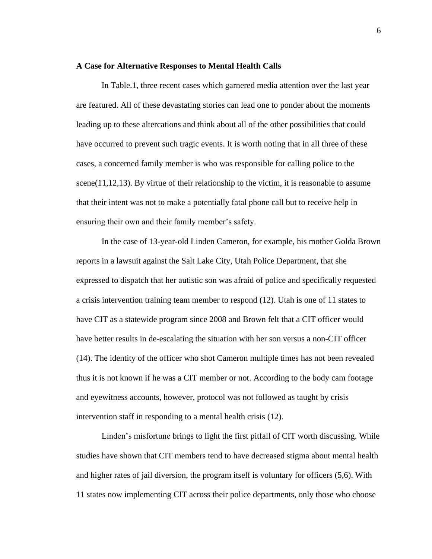#### **A Case for Alternative Responses to Mental Health Calls**

In Table.1, three recent cases which garnered media attention over the last year are featured. All of these devastating stories can lead one to ponder about the moments leading up to these altercations and think about all of the other possibilities that could have occurred to prevent such tragic events. It is worth noting that in all three of these cases, a concerned family member is who was responsible for calling police to the scene( $11,12,13$ ). By virtue of their relationship to the victim, it is reasonable to assume that their intent was not to make a potentially fatal phone call but to receive help in ensuring their own and their family member's safety.

In the case of 13-year-old Linden Cameron, for example, his mother Golda Brown reports in a lawsuit against the Salt Lake City, Utah Police Department, that she expressed to dispatch that her autistic son was afraid of police and specifically requested a crisis intervention training team member to respond (12). Utah is one of 11 states to have CIT as a statewide program since 2008 and Brown felt that a CIT officer would have better results in de-escalating the situation with her son versus a non-CIT officer (14). The identity of the officer who shot Cameron multiple times has not been revealed thus it is not known if he was a CIT member or not. According to the body cam footage and eyewitness accounts, however, protocol was not followed as taught by crisis intervention staff in responding to a mental health crisis (12).

Linden's misfortune brings to light the first pitfall of CIT worth discussing. While studies have shown that CIT members tend to have decreased stigma about mental health and higher rates of jail diversion, the program itself is voluntary for officers (5,6). With 11 states now implementing CIT across their police departments, only those who choose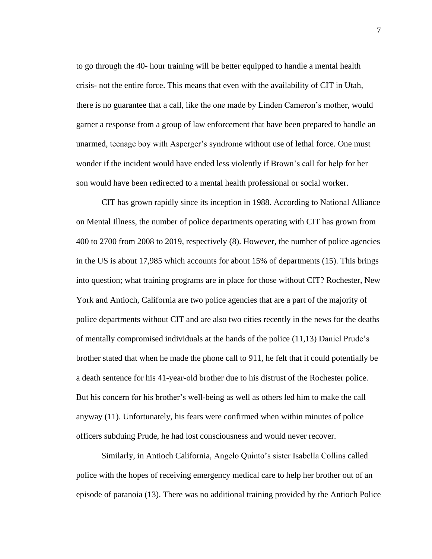to go through the 40- hour training will be better equipped to handle a mental health crisis- not the entire force. This means that even with the availability of CIT in Utah, there is no guarantee that a call, like the one made by Linden Cameron's mother, would garner a response from a group of law enforcement that have been prepared to handle an unarmed, teenage boy with Asperger's syndrome without use of lethal force. One must wonder if the incident would have ended less violently if Brown's call for help for her son would have been redirected to a mental health professional or social worker.

CIT has grown rapidly since its inception in 1988. According to National Alliance on Mental Illness, the number of police departments operating with CIT has grown from 400 to 2700 from 2008 to 2019, respectively (8). However, the number of police agencies in the US is about 17,985 which accounts for about 15% of departments (15). This brings into question; what training programs are in place for those without CIT? Rochester, New York and Antioch, California are two police agencies that are a part of the majority of police departments without CIT and are also two cities recently in the news for the deaths of mentally compromised individuals at the hands of the police (11,13) Daniel Prude's brother stated that when he made the phone call to 911, he felt that it could potentially be a death sentence for his 41-year-old brother due to his distrust of the Rochester police. But his concern for his brother's well-being as well as others led him to make the call anyway (11). Unfortunately, his fears were confirmed when within minutes of police officers subduing Prude, he had lost consciousness and would never recover.

Similarly, in Antioch California, Angelo Quinto's sister Isabella Collins called police with the hopes of receiving emergency medical care to help her brother out of an episode of paranoia (13). There was no additional training provided by the Antioch Police

7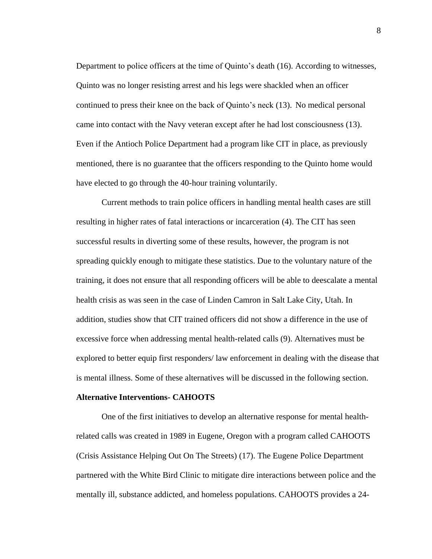Department to police officers at the time of Quinto's death (16). According to witnesses, Quinto was no longer resisting arrest and his legs were shackled when an officer continued to press their knee on the back of Quinto's neck (13). No medical personal came into contact with the Navy veteran except after he had lost consciousness (13). Even if the Antioch Police Department had a program like CIT in place, as previously mentioned, there is no guarantee that the officers responding to the Quinto home would have elected to go through the 40-hour training voluntarily.

Current methods to train police officers in handling mental health cases are still resulting in higher rates of fatal interactions or incarceration (4). The CIT has seen successful results in diverting some of these results, however, the program is not spreading quickly enough to mitigate these statistics. Due to the voluntary nature of the training, it does not ensure that all responding officers will be able to deescalate a mental health crisis as was seen in the case of Linden Camron in Salt Lake City, Utah. In addition, studies show that CIT trained officers did not show a difference in the use of excessive force when addressing mental health-related calls (9). Alternatives must be explored to better equip first responders/ law enforcement in dealing with the disease that is mental illness. Some of these alternatives will be discussed in the following section.

#### **Alternative Interventions- CAHOOTS**

One of the first initiatives to develop an alternative response for mental healthrelated calls was created in 1989 in Eugene, Oregon with a program called CAHOOTS (Crisis Assistance Helping Out On The Streets) (17). The Eugene Police Department partnered with the White Bird Clinic to mitigate dire interactions between police and the mentally ill, substance addicted, and homeless populations. CAHOOTS provides a 24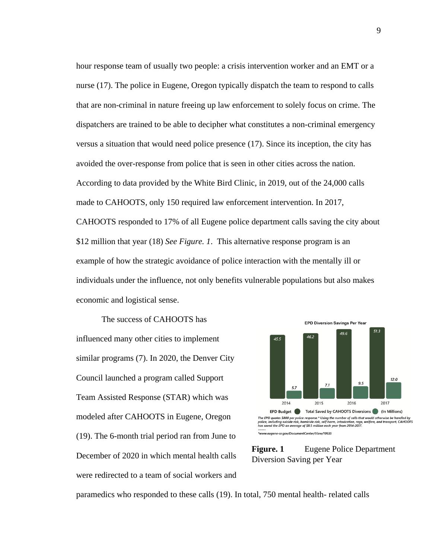hour response team of usually two people: a crisis intervention worker and an EMT or a nurse (17). The police in Eugene, Oregon typically dispatch the team to respond to calls that are non-criminal in nature freeing up law enforcement to solely focus on crime. The dispatchers are trained to be able to decipher what constitutes a non-criminal emergency versus a situation that would need police presence (17). Since its inception, the city has avoided the over-response from police that is seen in other cities across the nation. According to data provided by the White Bird Clinic, in 2019, out of the 24,000 calls made to CAHOOTS, only 150 required law enforcement intervention. In 2017, CAHOOTS responded to 17% of all Eugene police department calls saving the city about \$12 million that year (18) *See Figure. 1*. This alternative response program is an example of how the strategic avoidance of police interaction with the mentally ill or individuals under the influence, not only benefits vulnerable populations but also makes economic and logistical sense.

The success of CAHOOTS has influenced many other cities to implement similar programs (7). In 2020, the Denver City Council launched a program called Support Team Assisted Response (STAR) which was modeled after CAHOOTS in Eugene, Oregon (19). The 6-month trial period ran from June to December of 2020 in which mental health calls were redirected to a team of social workers and





paramedics who responded to these calls (19). In total, 750 mental health- related calls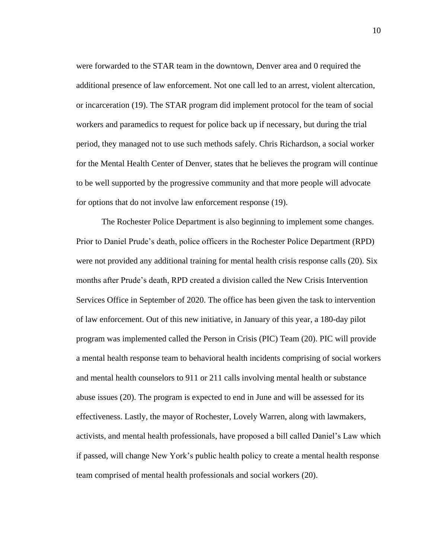were forwarded to the STAR team in the downtown, Denver area and 0 required the additional presence of law enforcement. Not one call led to an arrest, violent altercation, or incarceration (19). The STAR program did implement protocol for the team of social workers and paramedics to request for police back up if necessary, but during the trial period, they managed not to use such methods safely. Chris Richardson, a social worker for the Mental Health Center of Denver, states that he believes the program will continue to be well supported by the progressive community and that more people will advocate for options that do not involve law enforcement response (19).

The Rochester Police Department is also beginning to implement some changes. Prior to Daniel Prude's death, police officers in the Rochester Police Department (RPD) were not provided any additional training for mental health crisis response calls (20). Six months after Prude's death, RPD created a division called the New Crisis Intervention Services Office in September of 2020. The office has been given the task to intervention of law enforcement. Out of this new initiative, in January of this year, a 180-day pilot program was implemented called the Person in Crisis (PIC) Team (20). PIC will provide a mental health response team to behavioral health incidents comprising of social workers and mental health counselors to 911 or 211 calls involving mental health or substance abuse issues (20). The program is expected to end in June and will be assessed for its effectiveness. Lastly, the mayor of Rochester, Lovely Warren, along with lawmakers, activists, and mental health professionals, have proposed a bill called Daniel's Law which if passed, will change New York's public health policy to create a mental health response team comprised of mental health professionals and social workers (20).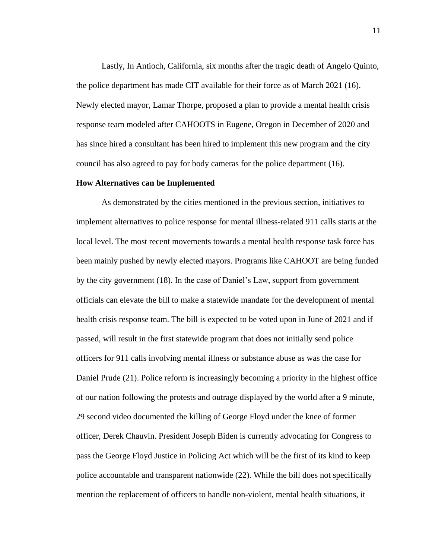Lastly, In Antioch, California, six months after the tragic death of Angelo Quinto, the police department has made CIT available for their force as of March 2021 (16). Newly elected mayor, Lamar Thorpe, proposed a plan to provide a mental health crisis response team modeled after CAHOOTS in Eugene, Oregon in December of 2020 and has since hired a consultant has been hired to implement this new program and the city council has also agreed to pay for body cameras for the police department (16).

#### **How Alternatives can be Implemented**

As demonstrated by the cities mentioned in the previous section, initiatives to implement alternatives to police response for mental illness-related 911 calls starts at the local level. The most recent movements towards a mental health response task force has been mainly pushed by newly elected mayors. Programs like CAHOOT are being funded by the city government (18). In the case of Daniel's Law, support from government officials can elevate the bill to make a statewide mandate for the development of mental health crisis response team. The bill is expected to be voted upon in June of 2021 and if passed, will result in the first statewide program that does not initially send police officers for 911 calls involving mental illness or substance abuse as was the case for Daniel Prude (21). Police reform is increasingly becoming a priority in the highest office of our nation following the protests and outrage displayed by the world after a 9 minute, 29 second video documented the killing of George Floyd under the knee of former officer, Derek Chauvin. President Joseph Biden is currently advocating for Congress to pass the George Floyd Justice in Policing Act which will be the first of its kind to keep police accountable and transparent nationwide (22). While the bill does not specifically mention the replacement of officers to handle non-violent, mental health situations, it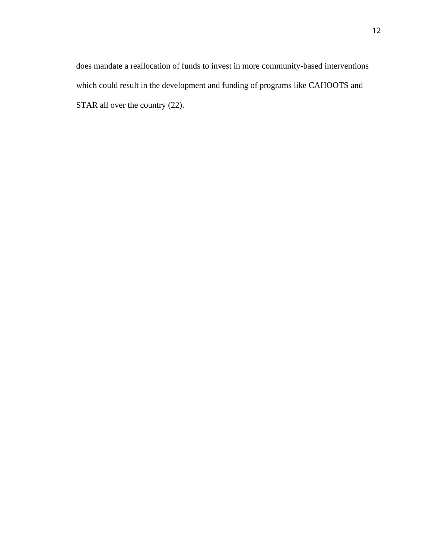does mandate a reallocation of funds to invest in more community-based interventions which could result in the development and funding of programs like CAHOOTS and STAR all over the country  $(22)$ .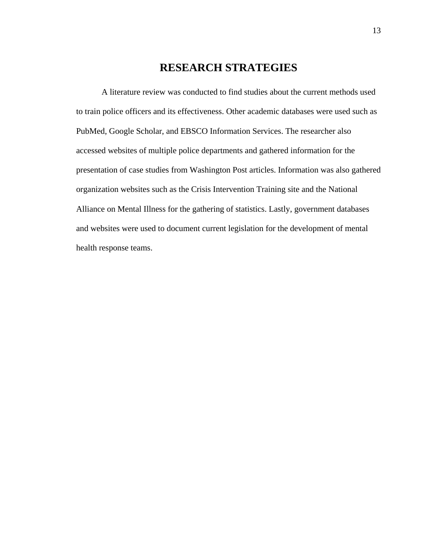# **RESEARCH STRATEGIES**

A literature review was conducted to find studies about the current methods used to train police officers and its effectiveness. Other academic databases were used such as PubMed, Google Scholar, and EBSCO Information Services. The researcher also accessed websites of multiple police departments and gathered information for the presentation of case studies from Washington Post articles. Information was also gathered organization websites such as the Crisis Intervention Training site and the National Alliance on Mental Illness for the gathering of statistics. Lastly, government databases and websites were used to document current legislation for the development of mental health response teams.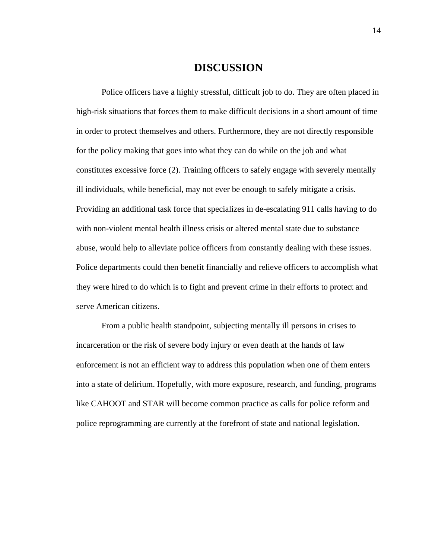### **DISCUSSION**

Police officers have a highly stressful, difficult job to do. They are often placed in high-risk situations that forces them to make difficult decisions in a short amount of time in order to protect themselves and others. Furthermore, they are not directly responsible for the policy making that goes into what they can do while on the job and what constitutes excessive force (2). Training officers to safely engage with severely mentally ill individuals, while beneficial, may not ever be enough to safely mitigate a crisis. Providing an additional task force that specializes in de-escalating 911 calls having to do with non-violent mental health illness crisis or altered mental state due to substance abuse, would help to alleviate police officers from constantly dealing with these issues. Police departments could then benefit financially and relieve officers to accomplish what they were hired to do which is to fight and prevent crime in their efforts to protect and serve American citizens.

From a public health standpoint, subjecting mentally ill persons in crises to incarceration or the risk of severe body injury or even death at the hands of law enforcement is not an efficient way to address this population when one of them enters into a state of delirium. Hopefully, with more exposure, research, and funding, programs like CAHOOT and STAR will become common practice as calls for police reform and police reprogramming are currently at the forefront of state and national legislation.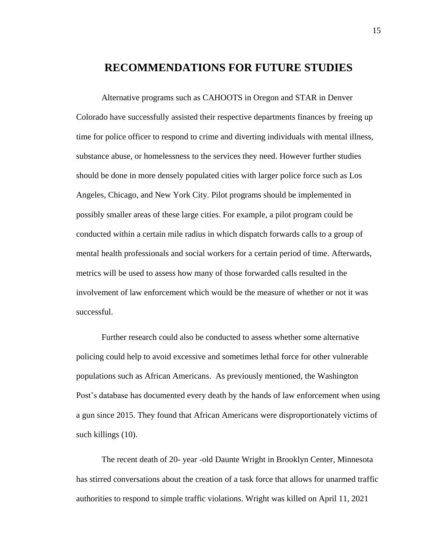### **RECOMMENDATIONS FOR FUTURE STUDIES**

Alternative programs such as CAHOOTS in Oregon and STAR in Denver Colorado have successfully assisted their respective departments finances by freeing up time for police officer to respond to crime and diverting individuals with mental illness, substance abuse, or homelessness to the services they need. However further studies should be done in more densely populated cities with larger police force such as Los Angeles, Chicago, and New York City. Pilot programs should be implemented in possibly smaller areas of these large cities. For example, a pilot program could be conducted within a certain mile radius in which dispatch forwards calls to a group of mental health professionals and social workers for a certain period of time. Afterwards, metrics will be used to assess how many of those forwarded calls resulted in the involvement of law enforcement which would be the measure of whether or not it was successful.

Further research could also be conducted to assess whether some alternative policing could help to avoid excessive and sometimes lethal force for other vulnerable populations such as African Americans. As previously mentioned, the Washington Post's database has documented every death by the hands of law enforcement when using a gun since 2015. They found that African Americans were disproportionately victims of such killings (10).

The recent death of 20- year -old Daunte Wright in Brooklyn Center, Minnesota has stirred conversations about the creation of a task force that allows for unarmed traffic authorities to respond to simple traffic violations. Wright was killed on April 11, 2021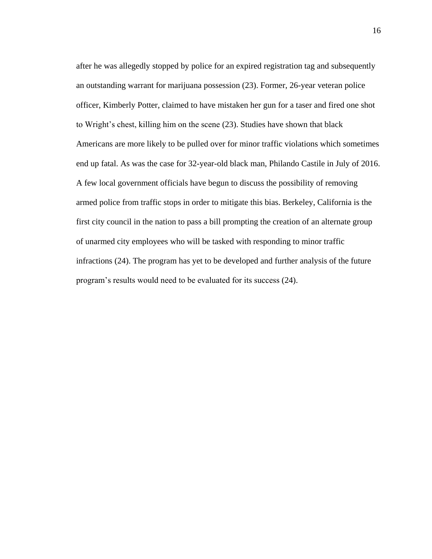after he was allegedly stopped by police for an expired registration tag and subsequently an outstanding warrant for marijuana possession (23). Former, 26-year veteran police officer, Kimberly Potter, claimed to have mistaken her gun for a taser and fired one shot to Wright's chest, killing him on the scene (23). Studies have shown that black Americans are more likely to be pulled over for minor traffic violations which sometimes end up fatal. As was the case for 32-year-old black man, Philando Castile in July of 2016. A few local government officials have begun to discuss the possibility of removing armed police from traffic stops in order to mitigate this bias. Berkeley, California is the first city council in the nation to pass a bill prompting the creation of an alternate group of unarmed city employees who will be tasked with responding to minor traffic infractions (24). The program has yet to be developed and further analysis of the future program's results would need to be evaluated for its success (24).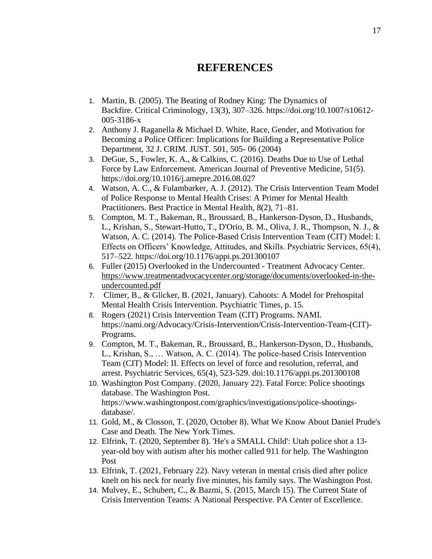## **REFERENCES**

- 1. Martin, B. (2005). The Beating of Rodney King: The Dynamics of Backfire. Critical Criminology, 13(3), 307–326. https://doi.org/10.1007/s10612- 005-3186-x
- 2. Anthony J. Raganella & Michael D. White, Race, Gender, and Motivation for Becoming a Police Officer: Implications for Building a Representative Police Department, 32 J. CRIM. JUST. 501, 505- 06 (2004)
- 3. DeGue, S., Fowler, K. A., & Calkins, C. (2016). Deaths Due to Use of Lethal Force by Law Enforcement. American Journal of Preventive Medicine, 51(5). https://doi.org/10.1016/j.amepre.2016.08.027
- 4. Watson, A. C., & Fulambarker, A. J. (2012). The Crisis Intervention Team Model of Police Response to Mental Health Crises: A Primer for Mental Health Practitioners. Best Practice in Mental Health, 8(2), 71–81.
- 5. Compton, M. T., Bakeman, R., Broussard, B., Hankerson-Dyson, D., Husbands, L., Krishan, S., Stewart-Hutto, T., D'Orio, B. M., Oliva, J. R., Thompson, N. J., & Watson, A. C. (2014). The Police-Based Crisis Intervention Team (CIT) Model: I. Effects on Officers' Knowledge, Attitudes, and Skills. Psychiatric Services, 65(4), 517–522. https://doi.org/10.1176/appi.ps.201300107
- 6. Fuller (2015) Overlooked in the Undercounted Treatment Advocacy Center. [https://www.treatmentadvocacycenter.org/storage/documents/overlooked-in-the](https://www.treatmentadvocacycenter.org/storage/documents/overlooked-in-the-undercounted.pdf)[undercounted.pdf](https://www.treatmentadvocacycenter.org/storage/documents/overlooked-in-the-undercounted.pdf)
- 7. Climer, B., & Glicker, B. (2021, January). Cahoots: A Model for Prehospital Mental Health Crisis Intervention. Psychiatric Times, p. 15.
- 8. Rogers (2021) Crisis Intervention Team (CIT) Programs. NAMI. https://nami.org/Advocacy/Crisis-Intervention/Crisis-Intervention-Team-(CIT)- Programs.
- 9. Compton, M. T., Bakeman, R., Broussard, B., Hankerson-Dyson, D., Husbands, L., Krishan, S., … Watson, A. C. (2014). The police-based Crisis Intervention Team (CIT) Model: II. Effects on level of force and resolution, referral, and arrest. Psychiatric Services, 65(4), 523-529. doi:10.1176/appi.ps.201300108
- 10. Washington Post Company. (2020, January 22). Fatal Force: Police shootings database. The Washington Post. https://www.washingtonpost.com/graphics/investigations/police-shootingsdatabase/.
- 11. Gold, M., & Closson, T. (2020, October 8). What We Know About Daniel Prude's Case and Death. The New York Times.
- 12. Elfrink, T. (2020, September 8). 'He's a SMALL Child': Utah police shot a 13 year-old boy with autism after his mother called 911 for help. The Washington Post
- 13. Elfrink, T. (2021, February 22). Navy veteran in mental crisis died after police knelt on his neck for nearly five minutes, his family says. The Washington Post.
- 14. Mulvey, E., Schubert, C., & Bazmi, S. (2015, March 15). The Current State of Crisis Intervention Teams: A National Perspective. PA Center of Excellence.